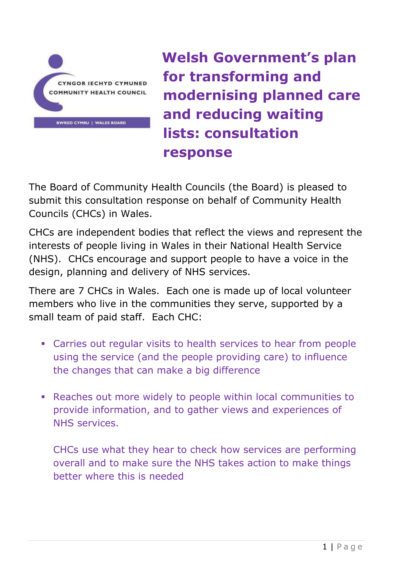

**Welsh Government's plan for transforming and modernising planned care and reducing waiting lists: consultation response**

The Board of Community Health Councils (the Board) is pleased to submit this consultation response on behalf of Community Health Councils (CHCs) in Wales.

CHCs are independent bodies that reflect the views and represent the interests of people living in Wales in their National Health Service (NHS). CHCs encourage and support people to have a voice in the design, planning and delivery of NHS services.

There are 7 CHCs in Wales. Each one is made up of local volunteer members who live in the communities they serve, supported by a small team of paid staff. Each CHC:

- Carries out regular visits to health services to hear from people using the service (and the people providing care) to influence the changes that can make a big difference
- Reaches out more widely to people within local communities to provide information, and to gather views and experiences of NHS services.

CHCs use what they hear to check how services are performing overall and to make sure the NHS takes action to make things better where this is needed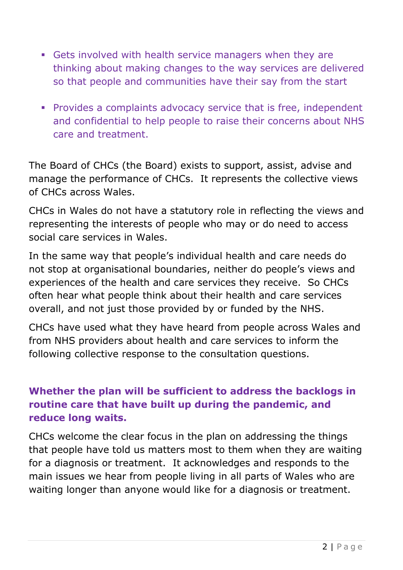- Gets involved with health service managers when they are thinking about making changes to the way services are delivered so that people and communities have their say from the start
- **Provides a complaints advocacy service that is free, independent** and confidential to help people to raise their concerns about NHS care and treatment.

The Board of CHCs (the Board) exists to support, assist, advise and manage the performance of CHCs. It represents the collective views of CHCs across Wales.

CHCs in Wales do not have a statutory role in reflecting the views and representing the interests of people who may or do need to access social care services in Wales.

In the same way that people's individual health and care needs do not stop at organisational boundaries, neither do people's views and experiences of the health and care services they receive. So CHCs often hear what people think about their health and care services overall, and not just those provided by or funded by the NHS.

CHCs have used what they have heard from people across Wales and from NHS providers about health and care services to inform the following collective response to the consultation questions.

# **Whether the plan will be sufficient to address the backlogs in routine care that have built up during the pandemic, and reduce long waits.**

CHCs welcome the clear focus in the plan on addressing the things that people have told us matters most to them when they are waiting for a diagnosis or treatment. It acknowledges and responds to the main issues we hear from people living in all parts of Wales who are waiting longer than anyone would like for a diagnosis or treatment.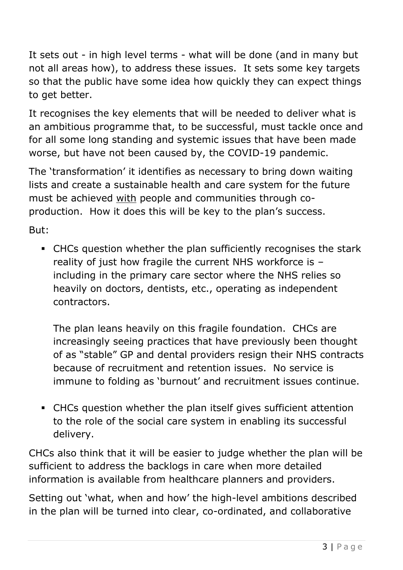It sets out - in high level terms - what will be done (and in many but not all areas how), to address these issues. It sets some key targets so that the public have some idea how quickly they can expect things to get better.

It recognises the key elements that will be needed to deliver what is an ambitious programme that, to be successful, must tackle once and for all some long standing and systemic issues that have been made worse, but have not been caused by, the COVID-19 pandemic.

The 'transformation' it identifies as necessary to bring down waiting lists and create a sustainable health and care system for the future must be achieved with people and communities through coproduction. How it does this will be key to the plan's success.

But:

▪ CHCs question whether the plan sufficiently recognises the stark reality of just how fragile the current NHS workforce is – including in the primary care sector where the NHS relies so heavily on doctors, dentists, etc., operating as independent contractors.

The plan leans heavily on this fragile foundation. CHCs are increasingly seeing practices that have previously been thought of as "stable" GP and dental providers resign their NHS contracts because of recruitment and retention issues. No service is immune to folding as 'burnout' and recruitment issues continue.

▪ CHCs question whether the plan itself gives sufficient attention to the role of the social care system in enabling its successful delivery.

CHCs also think that it will be easier to judge whether the plan will be sufficient to address the backlogs in care when more detailed information is available from healthcare planners and providers.

Setting out 'what, when and how' the high-level ambitions described in the plan will be turned into clear, co-ordinated, and collaborative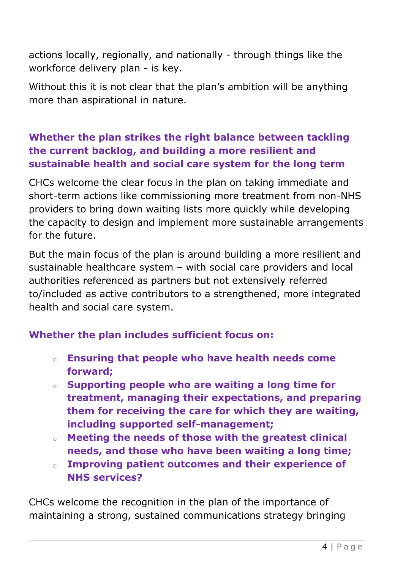actions locally, regionally, and nationally - through things like the workforce delivery plan - is key.

Without this it is not clear that the plan's ambition will be anything more than aspirational in nature.

# **Whether the plan strikes the right balance between tackling the current backlog, and building a more resilient and sustainable health and social care system for the long term**

CHCs welcome the clear focus in the plan on taking immediate and short-term actions like commissioning more treatment from non-NHS providers to bring down waiting lists more quickly while developing the capacity to design and implement more sustainable arrangements for the future.

But the main focus of the plan is around building a more resilient and sustainable healthcare system – with social care providers and local authorities referenced as partners but not extensively referred to/included as active contributors to a strengthened, more integrated health and social care system.

## **Whether the plan includes sufficient focus on:**

- o **Ensuring that people who have health needs come forward;**
- o **Supporting people who are waiting a long time for treatment, managing their expectations, and preparing them for receiving the care for which they are waiting, including supported self-management;**
- o **Meeting the needs of those with the greatest clinical needs, and those who have been waiting a long time;**
- o **Improving patient outcomes and their experience of NHS services?**

CHCs welcome the recognition in the plan of the importance of maintaining a strong, sustained communications strategy bringing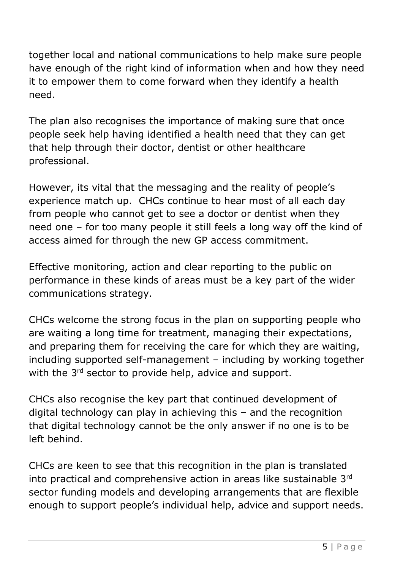together local and national communications to help make sure people have enough of the right kind of information when and how they need it to empower them to come forward when they identify a health need.

The plan also recognises the importance of making sure that once people seek help having identified a health need that they can get that help through their doctor, dentist or other healthcare professional.

However, its vital that the messaging and the reality of people's experience match up. CHCs continue to hear most of all each day from people who cannot get to see a doctor or dentist when they need one – for too many people it still feels a long way off the kind of access aimed for through the new GP access commitment.

Effective monitoring, action and clear reporting to the public on performance in these kinds of areas must be a key part of the wider communications strategy.

CHCs welcome the strong focus in the plan on supporting people who are waiting a long time for treatment, managing their expectations, and preparing them for receiving the care for which they are waiting, including supported self-management – including by working together with the 3<sup>rd</sup> sector to provide help, advice and support.

CHCs also recognise the key part that continued development of digital technology can play in achieving this – and the recognition that digital technology cannot be the only answer if no one is to be left behind.

CHCs are keen to see that this recognition in the plan is translated into practical and comprehensive action in areas like sustainable 3rd sector funding models and developing arrangements that are flexible enough to support people's individual help, advice and support needs.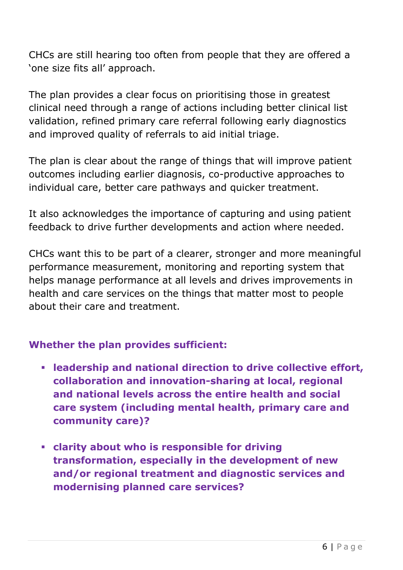CHCs are still hearing too often from people that they are offered a 'one size fits all' approach.

The plan provides a clear focus on prioritising those in greatest clinical need through a range of actions including better clinical list validation, refined primary care referral following early diagnostics and improved quality of referrals to aid initial triage.

The plan is clear about the range of things that will improve patient outcomes including earlier diagnosis, co-productive approaches to individual care, better care pathways and quicker treatment.

It also acknowledges the importance of capturing and using patient feedback to drive further developments and action where needed.

CHCs want this to be part of a clearer, stronger and more meaningful performance measurement, monitoring and reporting system that helps manage performance at all levels and drives improvements in health and care services on the things that matter most to people about their care and treatment.

## **Whether the plan provides sufficient:**

- **leadership and national direction to drive collective effort, collaboration and innovation-sharing at local, regional and national levels across the entire health and social care system (including mental health, primary care and community care)?**
- **clarity about who is responsible for driving transformation, especially in the development of new and/or regional treatment and diagnostic services and modernising planned care services?**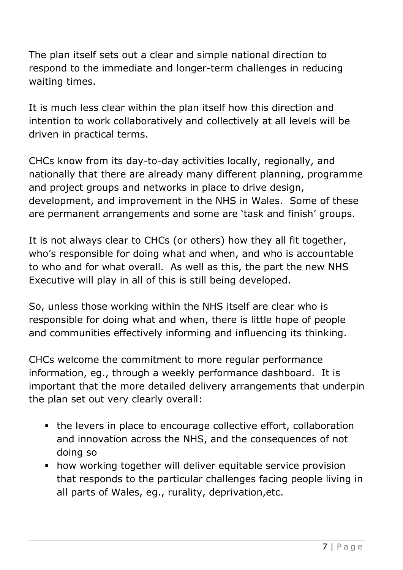The plan itself sets out a clear and simple national direction to respond to the immediate and longer-term challenges in reducing waiting times.

It is much less clear within the plan itself how this direction and intention to work collaboratively and collectively at all levels will be driven in practical terms.

CHCs know from its day-to-day activities locally, regionally, and nationally that there are already many different planning, programme and project groups and networks in place to drive design, development, and improvement in the NHS in Wales. Some of these are permanent arrangements and some are 'task and finish' groups.

It is not always clear to CHCs (or others) how they all fit together, who's responsible for doing what and when, and who is accountable to who and for what overall. As well as this, the part the new NHS Executive will play in all of this is still being developed.

So, unless those working within the NHS itself are clear who is responsible for doing what and when, there is little hope of people and communities effectively informing and influencing its thinking.

CHCs welcome the commitment to more regular performance information, eg., through a weekly performance dashboard. It is important that the more detailed delivery arrangements that underpin the plan set out very clearly overall:

- the levers in place to encourage collective effort, collaboration and innovation across the NHS, and the consequences of not doing so
- **how working together will deliver equitable service provision** that responds to the particular challenges facing people living in all parts of Wales, eg., rurality, deprivation,etc.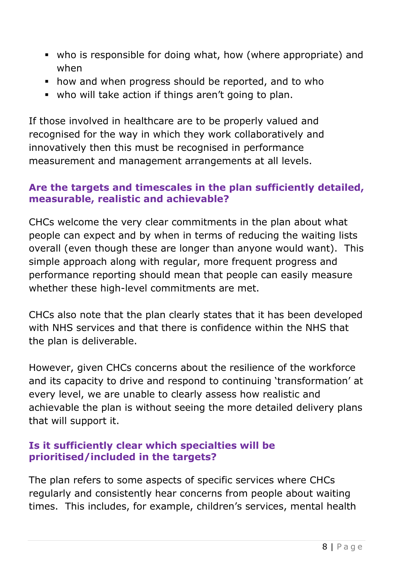- who is responsible for doing what, how (where appropriate) and when
- how and when progress should be reported, and to who
- who will take action if things aren't going to plan.

If those involved in healthcare are to be properly valued and recognised for the way in which they work collaboratively and innovatively then this must be recognised in performance measurement and management arrangements at all levels.

## **Are the targets and timescales in the plan sufficiently detailed, measurable, realistic and achievable?**

CHCs welcome the very clear commitments in the plan about what people can expect and by when in terms of reducing the waiting lists overall (even though these are longer than anyone would want). This simple approach along with regular, more frequent progress and performance reporting should mean that people can easily measure whether these high-level commitments are met.

CHCs also note that the plan clearly states that it has been developed with NHS services and that there is confidence within the NHS that the plan is deliverable.

However, given CHCs concerns about the resilience of the workforce and its capacity to drive and respond to continuing 'transformation' at every level, we are unable to clearly assess how realistic and achievable the plan is without seeing the more detailed delivery plans that will support it.

## **Is it sufficiently clear which specialties will be prioritised/included in the targets?**

The plan refers to some aspects of specific services where CHCs regularly and consistently hear concerns from people about waiting times. This includes, for example, children's services, mental health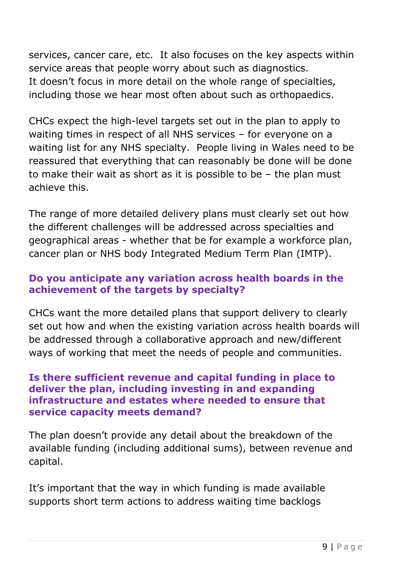services, cancer care, etc. It also focuses on the key aspects within service areas that people worry about such as diagnostics. It doesn't focus in more detail on the whole range of specialties, including those we hear most often about such as orthopaedics.

CHCs expect the high-level targets set out in the plan to apply to waiting times in respect of all NHS services – for everyone on a waiting list for any NHS specialty. People living in Wales need to be reassured that everything that can reasonably be done will be done to make their wait as short as it is possible to be – the plan must achieve this.

The range of more detailed delivery plans must clearly set out how the different challenges will be addressed across specialties and geographical areas - whether that be for example a workforce plan, cancer plan or NHS body Integrated Medium Term Plan (IMTP).

### **Do you anticipate any variation across health boards in the achievement of the targets by specialty?**

CHCs want the more detailed plans that support delivery to clearly set out how and when the existing variation across health boards will be addressed through a collaborative approach and new/different ways of working that meet the needs of people and communities.

#### **Is there sufficient revenue and capital funding in place to deliver the plan, including investing in and expanding infrastructure and estates where needed to ensure that service capacity meets demand?**

The plan doesn't provide any detail about the breakdown of the available funding (including additional sums), between revenue and capital.

It's important that the way in which funding is made available supports short term actions to address waiting time backlogs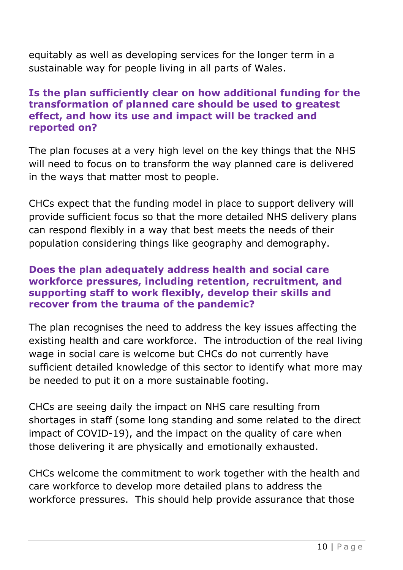equitably as well as developing services for the longer term in a sustainable way for people living in all parts of Wales.

#### **Is the plan sufficiently clear on how additional funding for the transformation of planned care should be used to greatest effect, and how its use and impact will be tracked and reported on?**

The plan focuses at a very high level on the key things that the NHS will need to focus on to transform the way planned care is delivered in the ways that matter most to people.

CHCs expect that the funding model in place to support delivery will provide sufficient focus so that the more detailed NHS delivery plans can respond flexibly in a way that best meets the needs of their population considering things like geography and demography.

#### **Does the plan adequately address health and social care workforce pressures, including retention, recruitment, and supporting staff to work flexibly, develop their skills and recover from the trauma of the pandemic?**

The plan recognises the need to address the key issues affecting the existing health and care workforce. The introduction of the real living wage in social care is welcome but CHCs do not currently have sufficient detailed knowledge of this sector to identify what more may be needed to put it on a more sustainable footing.

CHCs are seeing daily the impact on NHS care resulting from shortages in staff (some long standing and some related to the direct impact of COVID-19), and the impact on the quality of care when those delivering it are physically and emotionally exhausted.

CHCs welcome the commitment to work together with the health and care workforce to develop more detailed plans to address the workforce pressures. This should help provide assurance that those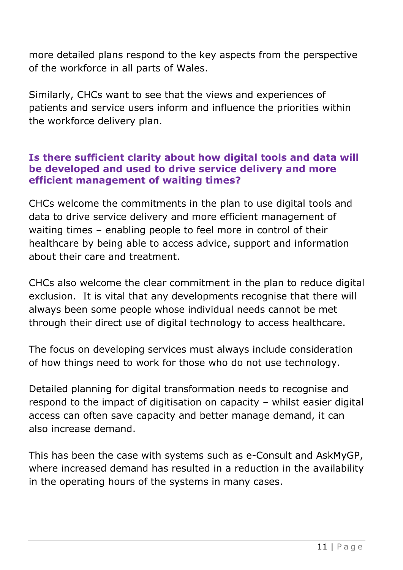more detailed plans respond to the key aspects from the perspective of the workforce in all parts of Wales.

Similarly, CHCs want to see that the views and experiences of patients and service users inform and influence the priorities within the workforce delivery plan.

#### **Is there sufficient clarity about how digital tools and data will be developed and used to drive service delivery and more efficient management of waiting times?**

CHCs welcome the commitments in the plan to use digital tools and data to drive service delivery and more efficient management of waiting times – enabling people to feel more in control of their healthcare by being able to access advice, support and information about their care and treatment.

CHCs also welcome the clear commitment in the plan to reduce digital exclusion. It is vital that any developments recognise that there will always been some people whose individual needs cannot be met through their direct use of digital technology to access healthcare.

The focus on developing services must always include consideration of how things need to work for those who do not use technology.

Detailed planning for digital transformation needs to recognise and respond to the impact of digitisation on capacity – whilst easier digital access can often save capacity and better manage demand, it can also increase demand.

This has been the case with systems such as e-Consult and AskMyGP, where increased demand has resulted in a reduction in the availability in the operating hours of the systems in many cases.